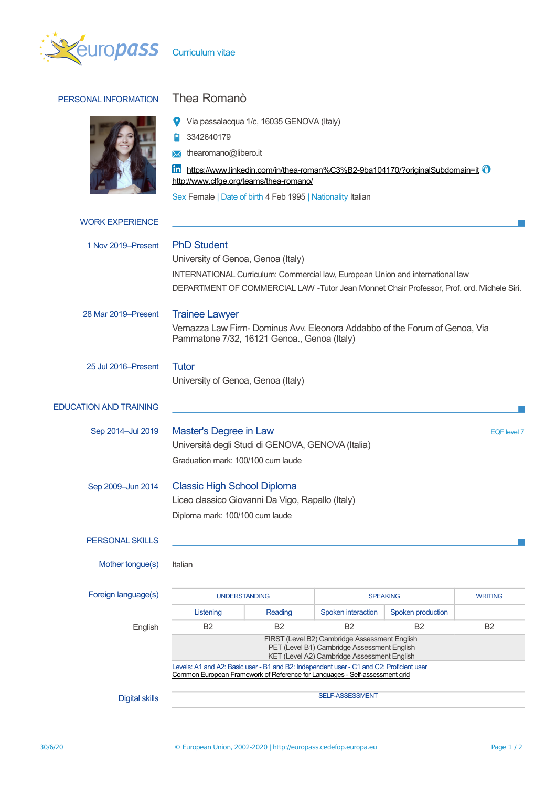

# PERSONAL INFORMATION Thea Romanò



| $\bullet$ |  |  | Via passalacqua 1/c, 16035 GENOVA (Italy) |  |  |  |  |
|-----------|--|--|-------------------------------------------|--|--|--|--|
|-----------|--|--|-------------------------------------------|--|--|--|--|

■ 3342640179

**X** thearomano@libero.it

<https://www.linkedin.com/in/thea-roman%C3%B2-9ba104170/?originalSubdomain=it> <sup>@</sup> <http://www.clfge.org/teams/thea-romano/>

Sex Female | Date of birth 4 Feb 1995 | Nationality Italian

| <b>WORK EXPERIENCE</b>        |                                                                                                                                                                                                                                         |         |                    |                   |                |  |  |
|-------------------------------|-----------------------------------------------------------------------------------------------------------------------------------------------------------------------------------------------------------------------------------------|---------|--------------------|-------------------|----------------|--|--|
| 1 Nov 2019–Present            | <b>PhD Student</b><br>University of Genoa, Genoa (Italy)<br>INTERNATIONAL Curriculum: Commercial law, European Union and international law<br>DEPARTMENT OF COMMERCIAL LAW -Tutor Jean Monnet Chair Professor, Prof. ord. Michele Siri. |         |                    |                   |                |  |  |
| 28 Mar 2019–Present           | <b>Trainee Lawyer</b><br>Vernazza Law Firm- Dominus Avv. Eleonora Addabbo of the Forum of Genoa, Via<br>Pammatone 7/32, 16121 Genoa., Genoa (Italy)                                                                                     |         |                    |                   |                |  |  |
| 25 Jul 2016–Present           | <b>Tutor</b><br>University of Genoa, Genoa (Italy)                                                                                                                                                                                      |         |                    |                   |                |  |  |
| <b>EDUCATION AND TRAINING</b> |                                                                                                                                                                                                                                         |         |                    |                   |                |  |  |
| Sep 2014-Jul 2019             | Master's Degree in Law<br>EQF level 7<br>Università degli Studi di GENOVA, GENOVA (Italia)<br>Graduation mark: 100/100 cum laude                                                                                                        |         |                    |                   |                |  |  |
| Sep 2009-Jun 2014             | <b>Classic High School Diploma</b><br>Liceo classico Giovanni Da Vigo, Rapallo (Italy)<br>Diploma mark: 100/100 cum laude                                                                                                               |         |                    |                   |                |  |  |
| <b>PERSONAL SKILLS</b>        |                                                                                                                                                                                                                                         |         |                    |                   |                |  |  |
| Mother tongue(s)              | Italian                                                                                                                                                                                                                                 |         |                    |                   |                |  |  |
| Foreign language(s)           | <b>UNDERSTANDING</b>                                                                                                                                                                                                                    |         | <b>SPEAKING</b>    |                   | <b>WRITING</b> |  |  |
|                               | Listening                                                                                                                                                                                                                               | Reading | Spoken interaction | Spoken production |                |  |  |
| English                       | B <sub>2</sub><br>B <sub>2</sub><br><b>B2</b><br>B <sub>2</sub><br><b>B2</b><br>FIRST (Level B2) Cambridge Assessment English<br>PET (Level B1) Cambridge Assessment English<br>KET (Level A2) Cambridge Assessment English             |         |                    |                   |                |  |  |
|                               | Levels: A1 and A2: Basic user - B1 and B2: Independent user - C1 and C2: Proficient user<br>Common European Framework of Reference for Languages - Self-assessment grid                                                                 |         |                    |                   |                |  |  |
| <b>Digital skills</b>         |                                                                                                                                                                                                                                         |         | SELF-ASSESSMENT    |                   |                |  |  |